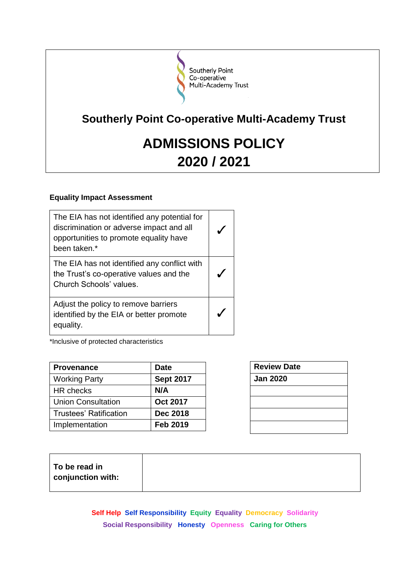

## **Southerly Point Co-operative Multi-Academy Trust**

# **ADMISSIONS POLICY 2020 / 2021**

## **Equality Impact Assessment**

| The EIA has not identified any potential for<br>discrimination or adverse impact and all<br>opportunities to promote equality have<br>been taken.* |  |
|----------------------------------------------------------------------------------------------------------------------------------------------------|--|
| The EIA has not identified any conflict with<br>the Trust's co-operative values and the<br>Church Schools' values.                                 |  |
| Adjust the policy to remove barriers<br>identified by the EIA or better promote<br>equality.                                                       |  |

\*Inclusive of protected characteristics

| <b>Provenance</b>             | <b>Date</b>      |
|-------------------------------|------------------|
| <b>Working Party</b>          | <b>Sept 2017</b> |
| <b>HR</b> checks              | N/A              |
| <b>Union Consultation</b>     | <b>Oct 2017</b>  |
| <b>Trustees' Ratification</b> | <b>Dec 2018</b>  |
| Implementation                | <b>Feb 2019</b>  |

| <b>Review Date</b> |  |
|--------------------|--|
| <b>Jan 2020</b>    |  |
|                    |  |
|                    |  |
|                    |  |
|                    |  |

| To be read in          |
|------------------------|
| $\,$ conjunction with: |
|                        |

**Self Help Self Responsibility Equity Equality Democracy Solidarity Social Responsibility Honesty Openness Caring for Others**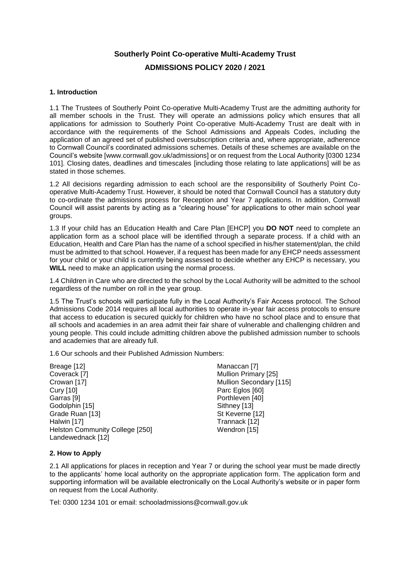## **Southerly Point Co-operative Multi-Academy Trust**

## **ADMISSIONS POLICY 2020 / 2021**

#### **1. Introduction**

1.1 The Trustees of Southerly Point Co-operative Multi-Academy Trust are the admitting authority for all member schools in the Trust. They will operate an admissions policy which ensures that all applications for admission to Southerly Point Co-operative Multi-Academy Trust are dealt with in accordance with the requirements of the School Admissions and Appeals Codes, including the application of an agreed set of published oversubscription criteria and, where appropriate, adherence to Cornwall Council's coordinated admissions schemes. Details of these schemes are available on the Council's website [www.cornwall.gov.uk/admissions] or on request from the Local Authority [0300 1234 101]. Closing dates, deadlines and timescales [including those relating to late applications] will be as stated in those schemes.

1.2 All decisions regarding admission to each school are the responsibility of Southerly Point Cooperative Multi-Academy Trust. However, it should be noted that Cornwall Council has a statutory duty to co-ordinate the admissions process for Reception and Year 7 applications. In addition, Cornwall Council will assist parents by acting as a "clearing house" for applications to other main school year groups.

1.3 If your child has an Education Health and Care Plan [EHCP] you **DO NOT** need to complete an application form as a school place will be identified through a separate process. If a child with an Education, Health and Care Plan has the name of a school specified in his/her statement/plan, the child must be admitted to that school. However, if a request has been made for any EHCP needs assessment for your child or your child is currently being assessed to decide whether any EHCP is necessary, you **WILL** need to make an application using the normal process.

1.4 Children in Care who are directed to the school by the Local Authority will be admitted to the school regardless of the number on roll in the year group.

1.5 The Trust's schools will participate fully in the Local Authority's Fair Access protocol. The School Admissions Code 2014 requires all local authorities to operate in-year fair access protocols to ensure that access to education is secured quickly for children who have no school place and to ensure that all schools and academies in an area admit their fair share of vulnerable and challenging children and young people. This could include admitting children above the published admission number to schools and academies that are already full.

1.6 Our schools and their Published Admission Numbers:

Breage [12] Coverack [7] Crowan [17] Cury [10] Garras [9] Godolphin [15] Grade Ruan [13] Halwin [17] Helston Community College [250] Landewednack [12]

Manaccan [7] Mullion Primary [25] Mullion Secondary [115] Parc Eglos [60] Porthleven [40] Sithney [13] St Keverne [12] Trannack [12] Wendron [15]

#### **2. How to Apply**

2.1 All applications for places in reception and Year 7 or during the school year must be made directly to the applicants' home local authority on the appropriate application form. The application form and supporting information will be available electronically on the Local Authority's website or in paper form on request from the Local Authority.

Tel: 0300 1234 101 or email: schooladmissions@cornwall.gov.uk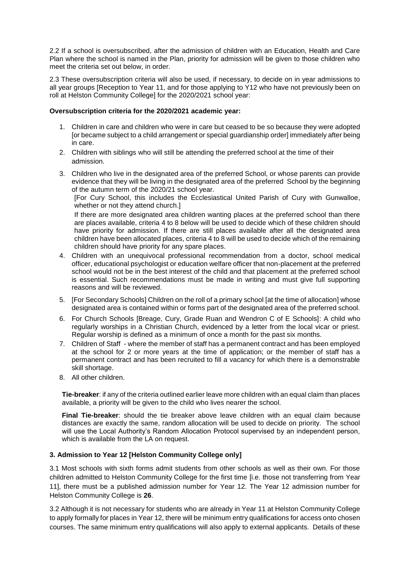2.2 If a school is oversubscribed, after the admission of children with an Education, Health and Care Plan where the school is named in the Plan, priority for admission will be given to those children who meet the criteria set out below, in order.

2.3 These oversubscription criteria will also be used, if necessary, to decide on in year admissions to all year groups [Reception to Year 11, and for those applying to Y12 who have not previously been on roll at Helston Community College] for the 2020/2021 school year:

#### **Oversubscription criteria for the 2020/2021 academic year:**

- 1. Children in care and children who were in care but ceased to be so because they were adopted [or became subject to a child arrangement or special guardianship order] immediately after being in care.
- 2. Children with siblings who will still be attending the preferred school at the time of their admission.
- 3. Children who live in the designated area of the preferred School, or whose parents can provide evidence that they will be living in the designated area of the preferred School by the beginning of the autumn term of the 2020/21 school year.

[For Cury School, this includes the Ecclesiastical United Parish of Cury with Gunwalloe, whether or not they attend church.]

If there are more designated area children wanting places at the preferred school than there are places available, criteria 4 to 8 below will be used to decide which of these children should have priority for admission. If there are still places available after all the designated area children have been allocated places, criteria 4 to 8 will be used to decide which of the remaining children should have priority for any spare places.

- 4. Children with an unequivocal professional recommendation from a doctor, school medical officer, educational psychologist or education welfare officer that non-placement at the preferred school would not be in the best interest of the child and that placement at the preferred school is essential. Such recommendations must be made in writing and must give full supporting reasons and will be reviewed.
- 5. [For Secondary Schools] Children on the roll of a primary school [at the time of allocation] whose designated area is contained within or forms part of the designated area of the preferred school.
- 6. For Church Schools [Breage, Cury, Grade Ruan and Wendron C of E Schools]: A child who regularly worships in a Christian Church, evidenced by a letter from the local vicar or priest. Regular worship is defined as a minimum of once a month for the past six months.
- 7. Children of Staff where the member of staff has a permanent contract and has been employed at the school for 2 or more years at the time of application; or the member of staff has a permanent contract and has been recruited to fill a vacancy for which there is a demonstrable skill shortage.
- 8. All other children.

**Tie-breaker**: if any of the criteria outlined earlier leave more children with an equal claim than places available, a priority will be given to the child who lives nearer the school.

**Final Tie-breaker**: should the tie breaker above leave children with an equal claim because distances are exactly the same, random allocation will be used to decide on priority. The school will use the Local Authority's Random Allocation Protocol supervised by an independent person, which is available from the LA on request.

#### **3. Admission to Year 12 [Helston Community College only]**

3.1 Most schools with sixth forms admit students from other schools as well as their own. For those children admitted to Helston Community College for the first time [i.e. those not transferring from Year 11], there must be a published admission number for Year 12. The Year 12 admission number for Helston Community College is **26**.

3.2 Although it is not necessary for students who are already in Year 11 at Helston Community College to apply formally for places in Year 12, there will be minimum entry qualifications for access onto chosen courses. The same minimum entry qualifications will also apply to external applicants. Details of these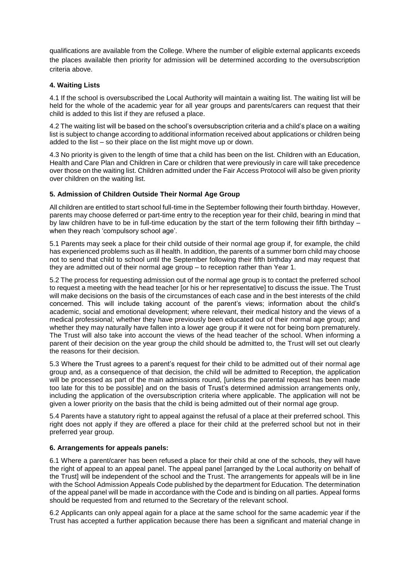qualifications are available from the College. Where the number of eligible external applicants exceeds the places available then priority for admission will be determined according to the oversubscription criteria above.

#### **4. Waiting Lists**

4.1 If the school is oversubscribed the Local Authority will maintain a waiting list. The waiting list will be held for the whole of the academic year for all year groups and parents/carers can request that their child is added to this list if they are refused a place.

4.2 The waiting list will be based on the school's oversubscription criteria and a child's place on a waiting list is subject to change according to additional information received about applications or children being added to the list – so their place on the list might move up or down.

4.3 No priority is given to the length of time that a child has been on the list. Children with an Education, Health and Care Plan and Children in Care or children that were previously in care will take precedence over those on the waiting list. Children admitted under the Fair Access Protocol will also be given priority over children on the waiting list.

#### **5. Admission of Children Outside Their Normal Age Group**

All children are entitled to start school full-time in the September following their fourth birthday. However, parents may choose deferred or part-time entry to the reception year for their child, bearing in mind that by law children have to be in full-time education by the start of the term following their fifth birthday – when they reach 'compulsory school age'.

5.1 Parents may seek a place for their child outside of their normal age group if, for example, the child has experienced problems such as ill health. In addition, the parents of a summer born child may choose not to send that child to school until the September following their fifth birthday and may request that they are admitted out of their normal age group – to reception rather than Year 1.

5.2 The process for requesting admission out of the normal age group is to contact the preferred school to request a meeting with the head teacher [or his or her representative] to discuss the issue. The Trust will make decisions on the basis of the circumstances of each case and in the best interests of the child concerned. This will include taking account of the parent's views; information about the child's academic, social and emotional development; where relevant, their medical history and the views of a medical professional; whether they have previously been educated out of their normal age group; and whether they may naturally have fallen into a lower age group if it were not for being born prematurely. The Trust will also take into account the views of the head teacher of the school. When informing a parent of their decision on the year group the child should be admitted to, the Trust will set out clearly the reasons for their decision.

5.3 Where the Trust agrees to a parent's request for their child to be admitted out of their normal age group and, as a consequence of that decision, the child will be admitted to Reception, the application will be processed as part of the main admissions round, [unless the parental request has been made too late for this to be possible] and on the basis of Trust's determined admission arrangements only, including the application of the oversubscription criteria where applicable. The application will not be given a lower priority on the basis that the child is being admitted out of their normal age group.

5.4 Parents have a statutory right to appeal against the refusal of a place at their preferred school. This right does not apply if they are offered a place for their child at the preferred school but not in their preferred year group.

#### **6. Arrangements for appeals panels:**

6.1 Where a parent/carer has been refused a place for their child at one of the schools, they will have the right of appeal to an appeal panel. The appeal panel [arranged by the Local authority on behalf of the Trust] will be independent of the school and the Trust. The arrangements for appeals will be in line with the School Admission Appeals Code published by the department for Education. The determination of the appeal panel will be made in accordance with the Code and is binding on all parties. Appeal forms should be requested from and returned to the Secretary of the relevant school.

6.2 Applicants can only appeal again for a place at the same school for the same academic year if the Trust has accepted a further application because there has been a significant and material change in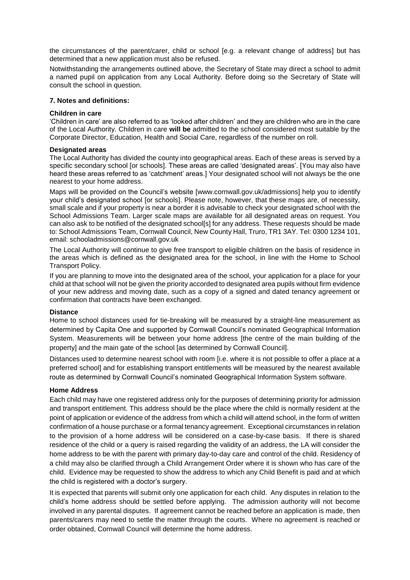the circumstances of the parent/carer, child or school [e.g. a relevant change of address] but has determined that a new application must also be refused.

Notwithstanding the arrangements outlined above, the Secretary of State may direct a school to admit a named pupil on application from any Local Authority. Before doing so the Secretary of State will consult the school in question.

#### **7. Notes and definitions:**

#### **Children in care**

'Children in care' are also referred to as 'looked after children' and they are children who are in the care of the Local Authority. Children in care **will be** admitted to the school considered most suitable by the Corporate Director, Education, Health and Social Care, regardless of the number on roll.

#### **Designated areas**

The Local Authority has divided the county into geographical areas. Each of these areas is served by a specific secondary school [or schools]. These areas are called 'designated areas'. [You may also have heard these areas referred to as 'catchment' areas.] Your designated school will not always be the one nearest to your home address.

Maps will be provided on the Council's website [www.cornwall.gov.uk/admissions] help you to identify your child's designated school [or schools]. Please note, however, that these maps are, of necessity, small scale and if your property is near a border it is advisable to check your designated school with the School Admissions Team. Larger scale maps are available for all designated areas on request. You can also ask to be notified of the designated school[s] for any address. These requests should be made to: School Admissions Team, Cornwall Council, New County Hall, Truro, TR1 3AY. Tel: 0300 1234 101, email: schooladmissions@cornwall.gov.uk

The Local Authority will continue to give free transport to eligible children on the basis of residence in the areas which is defined as the designated area for the school, in line with the Home to School Transport Policy.

If you are planning to move into the designated area of the school, your application for a place for your child at that school will not be given the priority accorded to designated area pupils without firm evidence of your new address and moving date, such as a copy of a signed and dated tenancy agreement or confirmation that contracts have been exchanged.

#### **Distance**

Home to school distances used for tie-breaking will be measured by a straight-line measurement as determined by Capita One and supported by Cornwall Council's nominated Geographical Information System. Measurements will be between your home address [the centre of the main building of the property] and the main gate of the school [as determined by Cornwall Council].

Distances used to determine nearest school with room [i.e. where it is not possible to offer a place at a preferred school] and for establishing transport entitlements will be measured by the nearest available route as determined by Cornwall Council's nominated Geographical Information System software.

#### **Home Address**

Each child may have one registered address only for the purposes of determining priority for admission and transport entitlement. This address should be the place where the child is normally resident at the point of application or evidence of the address from which a child will attend school, in the form of written confirmation of a house purchase or a formal tenancy agreement. Exceptional circumstances in relation to the provision of a home address will be considered on a case-by-case basis. If there is shared residence of the child or a query is raised regarding the validity of an address, the LA will consider the home address to be with the parent with primary day-to-day care and control of the child. Residency of a child may also be clarified through a Child Arrangement Order where it is shown who has care of the child. Evidence may be requested to show the address to which any Child Benefit is paid and at which the child is registered with a doctor's surgery.

It is expected that parents will submit only one application for each child. Any disputes in relation to the child's home address should be settled before applying. The admission authority will not become involved in any parental disputes. If agreement cannot be reached before an application is made, then parents/carers may need to settle the matter through the courts. Where no agreement is reached or order obtained, Cornwall Council will determine the home address.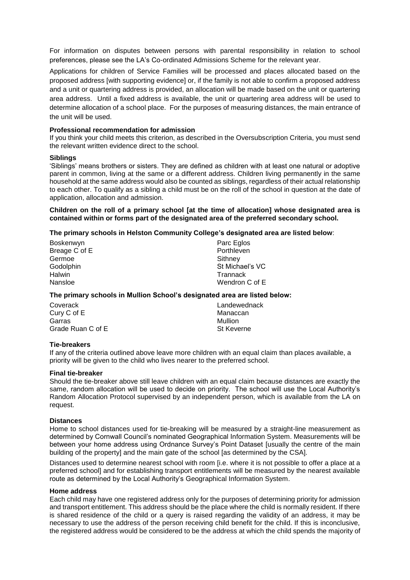For information on disputes between persons with parental responsibility in relation to school preferences, please see the LA's Co-ordinated Admissions Scheme for the relevant year.

Applications for children of Service Families will be processed and places allocated based on the proposed address [with supporting evidence] or, if the family is not able to confirm a proposed address and a unit or quartering address is provided, an allocation will be made based on the unit or quartering area address. Until a fixed address is available, the unit or quartering area address will be used to determine allocation of a school place. For the purposes of measuring distances, the main entrance of the unit will be used.

#### **Professional recommendation for admission**

If you think your child meets this criterion, as described in the Oversubscription Criteria, you must send the relevant written evidence direct to the school.

#### **Siblings**

'Siblings' means brothers or sisters. They are defined as children with at least one natural or adoptive parent in common, living at the same or a different address. Children living permanently in the same household at the same address would also be counted as siblings, regardless of their actual relationship to each other. To qualify as a sibling a child must be on the roll of the school in question at the date of application, allocation and admission.

**Children on the roll of a primary school [at the time of allocation] whose designated area is contained within or forms part of the designated area of the preferred secondary school.** 

#### **The primary schools in Helston Community College's designated area are listed below**:

| Boskenwyn     | Parc Eglos      |
|---------------|-----------------|
| Breage C of E | Porthleven      |
| Germoe        | Sithney         |
| Godolphin     | St Michael's VC |
| <b>Halwin</b> | Trannack        |
| Nansloe       | Wendron C of E  |

#### **The primary schools in Mullion School's designated area are listed below:**

| Coverack          | Landewednack |
|-------------------|--------------|
| Cury C of E       | Manaccan     |
| Garras            | Mullion      |
| Grade Ruan C of E | St Keverne   |

#### **Tie-breakers**

If any of the criteria outlined above leave more children with an equal claim than places available, a priority will be given to the child who lives nearer to the preferred school.

#### **Final tie-breaker**

Should the tie-breaker above still leave children with an equal claim because distances are exactly the same, random allocation will be used to decide on priority. The school will use the Local Authority's Random Allocation Protocol supervised by an independent person, which is available from the LA on request.

#### **Distances**

Home to school distances used for tie-breaking will be measured by a straight-line measurement as determined by Cornwall Council's nominated Geographical Information System. Measurements will be between your home address using Ordnance Survey's Point Dataset [usually the centre of the main building of the property] and the main gate of the school [as determined by the CSA].

Distances used to determine nearest school with room [i.e. where it is not possible to offer a place at a preferred school] and for establishing transport entitlements will be measured by the nearest available route as determined by the Local Authority's Geographical Information System.

#### **Home address**

Each child may have one registered address only for the purposes of determining priority for admission and transport entitlement. This address should be the place where the child is normally resident. If there is shared residence of the child or a query is raised regarding the validity of an address, it may be necessary to use the address of the person receiving child benefit for the child. If this is inconclusive, the registered address would be considered to be the address at which the child spends the majority of